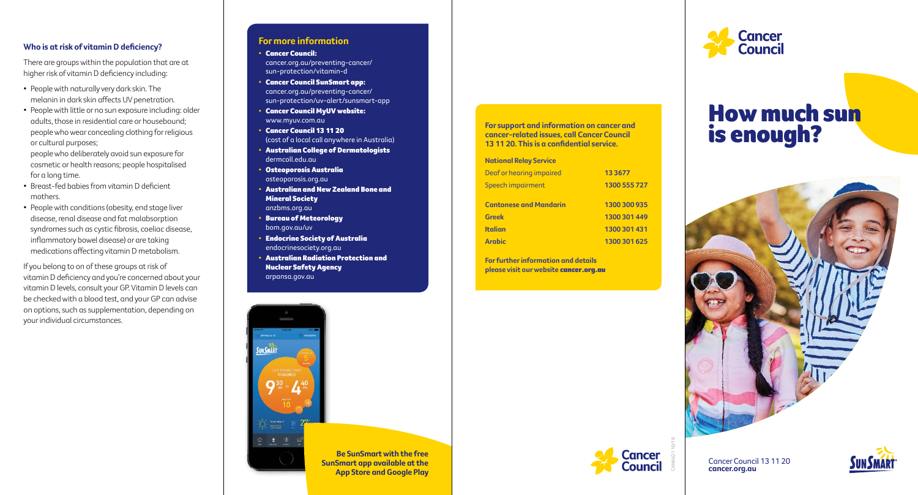# **Who is at risk of vitamin D deficiency?**

There are groups within the population that are at higher risk of vitamin D deficiency including:

- People with naturally very dark skin. The melanin in dark skin affects UV penetration.
- People with little or no sun exposure including: older adults, those in residential care or housebound; people who wear concealing clothing for religious or cultural purposes; people who deliberately avoid sun exposure for

cosmetic or health reasons; people hospitalised for a long time.

- Breast-fed babies from vitamin D deficient mothers.
- People with conditions (obesity, end stage liver disease, renal disease and fat malabsorption syndromes such as cystic fibrosis, coeliac disease, inflammatory bowel disease) or are taking medications affecting vitamin D metabolism.

If you belong to on of these groups at risk of vitamin D deficiency and you're concerned about your vitamin D levels, consult your GP. Vitamin D levels can be checked with a blood test, and your GP can advise on options, such as supplementation, depending on your individual circumstances.

# **For more information**

#### • Cancer Council:

cancer.org.au/preventing-cancer/ sun-protection/vitamin-d

- Cancer Council SunSmart app: cancer.org.au/preventing-cancer/ sun-protection/uv-alert/sunsmart-app
- Cancer Council MyUV website: www.myuv.com.au

• Cancer Council 13 11 20 (cost of a local call anywhere in Australia)

- Australian College of Dermatologists dermcoll.edu.au
- Osteoporosis Australia osteoporosis.org.au
- Australian and New Zealand Bone and Mineral Society anzbms.org.au
- Bureau of Meteorology bom.gov.au/uv
- Endocrine Society of Australia endocrinesociety.org.au
- Australian Radiation Protection and Nuclear Safety Agency arpansa.gov.au

**For support and information on cancer and cancer-related issues, call Cancer Council 13 11 20. This is a confidential service.**

#### **National Relay Service**

| Deaf or hearing impaired<br>Speech impairment | 13 3 6 7 7<br>1300 555 727 |
|-----------------------------------------------|----------------------------|
| <b>Cantonese and Mandarin</b>                 | 1300 300 935               |
| <b>Greek</b>                                  | 1300 301 449               |
| <b>Italian</b>                                | 1300 301 431               |
| <b>Arabic</b>                                 | 1300 301 625               |

**For further information and details please visit our website** cancer.org.au



# How much sun is enough?